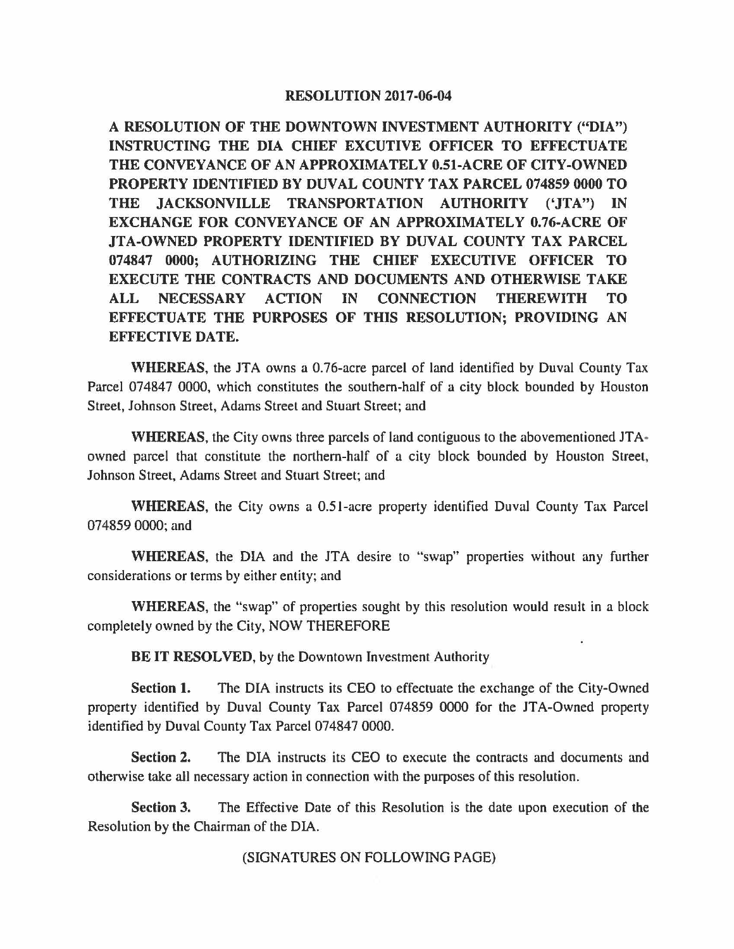## **RESOLUTION 2017-06-04**

**A RESOLUTION OF THE DOWNTOWN INVESTMENT AUTHORITY ("DIA") INSTRUCTING THE DIA CHIEF EXCUTIVE OFFICER TO EFFECTUATE THE CONVEYANCE OF AN APPROXIMATELY 0.51-ACRE OF CITY-OWNED PROPERTY IDENTIFIED BY DUVAL COUNTY TAX PARCEL 074859 0000 TO THE JACKSONVILLE TRANSPORTATION AUTHORITY ('JTA") IN EXCHANGE FOR CONVEYANCE OF AN APPROXIMATELY 0.76-ACRE OF JTA-OWNED PROPERTY IDENTIFIED BY DUVAL COUNTY TAX PARCEL 074847 0000; AUTHORIZING THE CHIEF EXECUTIVE OFFICER TO EXECUTE THE CONTRACTS AND DOCUMENTS AND OTHERWISE TAKE ALL NECESSARY ACTION IN CONNECTION THEREWITH TO EFFECTUATE THE PURPOSES OF THIS RESOLUTION; PROVIDING AN EFFECTIVE DATE.** 

**WHEREAS,** the JTA owns a 0.76-acre parcel of land identified by Duval County Tax Parcel 074847 0000, which constitutes the southern-half of a city block bounded by Houston Street, Johnson Street, Adams Street and Stuart Street; and

**WHEREAS,** the City owns three parcels of land contiguous to the abovementioned JT A· owned parcel that constitute the northern-half of a city block bounded by Houston Street, Johnson Street, Adams Street and Stuart Street; and

**WHEREAS,** the City owns a 0.51-acre property identified Duval County Tax Parcel 074859 0000; and

WHEREAS, the DIA and the JTA desire to "swap" properties without any further considerations or terms by either entity; and

**WHEREAS,** the "swap" of properties sought by this resolution would result in a block completely owned by the City, NOW THEREFORE

**BE IT RESOLVED,** by the Downtown Investment Authority

**Section 1.** The DIA instructs its CEO to effectuate the exchange of the City-Owned property identified by Duval County Tax Parcel 074859 0000 for the JTA-Owned property identified by Duval County Tax Parcel 074847 0000.

**Section 2.** The DIA instructs its CEO to execute the contracts and documents and otherwise take all necessary action in connection with the purposes of this resolution.

**Section 3.** The Effective Date of this Resolution is the date upon execution of the Resolution by the Chairman of the DIA.

(SIGNATURES ON FOLLOWING PAGE)